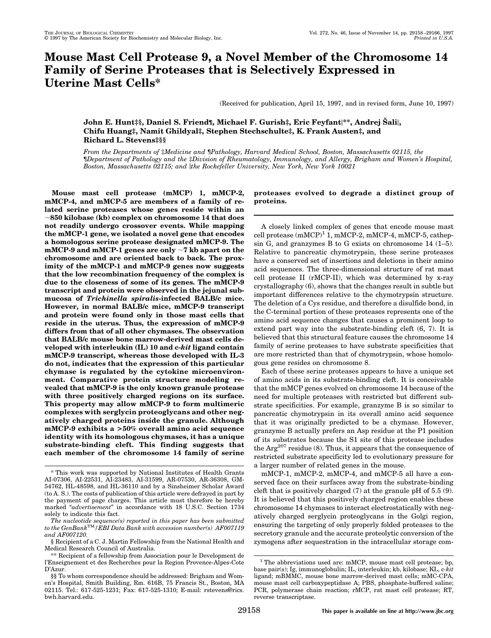# **Mouse Mast Cell Protease 9, a Novel Member of the Chromosome 14 Family of Serine Proteases that is Selectively Expressed in Uterine Mast Cells\***

(Received for publication, April 15, 1997, and in revised form, June 10, 1997)

## **John E. Hunt‡§, Daniel S. Friend¶, Michael F. Gurish‡, Eric Feyfant|\*\*, Andrej Šali|, Chifu Huang‡, Namit Ghildyal‡, Stephen Stechschulte‡, K. Frank Austen‡, and Richard L. Stevens**: \$\$\$

*From the Departments of* ‡*Medicine and* ¶*Pathology, Harvard Medical School, Boston, Massachusetts 02115, the* ¶*Department of Pathology and the* ‡*Division of Rheumatology, Immunology, and Allergy, Brigham and Women's Hospital, Boston, Massachusetts 02115; and* i*the Rockefeller University, New York, New York 10021*

**Mouse mast cell protease (mMCP) 1, mMCP-2, mMCP-4, and mMCP-5 are members of a family of related serine proteases whose genes reside within an** ;**850 kilobase (kb) complex on chromosome 14 that does not readily undergo crossover events. While mapping the mMCP-1 gene, we isolated a novel gene that encodes a homologous serine protease designated mMCP-9. The mMCP-9 and mMCP-1 genes are only**  $\sim$ **7 kb apart on the chromosome and are oriented back to back. The proximity of the mMCP-1 and mMCP-9 genes now suggests that the low recombination frequency of the complex is due to the closeness of some of its genes. The mMCP-9 transcript and protein were observed in the jejunal submucosa of** *Trichinella spiralis***-infected BALB/c mice. However, in normal BALB/c mice, mMCP-9 transcript and protein were found only in those mast cells that reside in the uterus. Thus, the expression of mMCP-9 differs from that of all other chymases. The observation that BALB/c mouse bone marrow-derived mast cells developed with interleukin (IL) 10 and c-***kit* **ligand contain mMCP-9 transcript, whereas those developed with IL-3 do not, indicates that the expression of this particular chymase is regulated by the cytokine microenvironment. Comparative protein structure modeling revealed that mMCP-9 is the only known granule protease with three positively charged regions on its surface. This property may allow mMCP-9 to form multimeric complexes with serglycin proteoglycans and other negatively charged proteins inside the granule. Although mMCP-9 exhibits a >50% overall amino acid sequence identity with its homologous chymases, it has a unique substrate-binding cleft. This finding suggests that each member of the chromosome 14 family of serine**

## **proteases evolved to degrade a distinct group of proteins.**

A closely linked complex of genes that encode mouse mast cell protease (mMCP)<sup>1</sup> 1, mMCP-2, mMCP-4, mMCP-5, cathepsin G, and granzymes B to G exists on chromosome 14 (1–5). Relative to pancreatic chymotrypsin, these serine proteases have a conserved set of insertions and deletions in their amino acid sequences. The three-dimensional structure of rat mast cell protease II (rMCP-II), which was determined by x-ray crystallography (6), shows that the changes result in subtle but important differences relative to the chymotrypsin structure. The deletion of a Cys residue, and therefore a disulfide bond, in the C-terminal portion of these proteases represents one of the amino acid sequence changes that causes a prominent loop to extend part way into the substrate-binding cleft (6, 7). It is believed that this structural feature causes the chromosome 14 family of serine proteases to have substrate specificities that are more restricted than that of chymotrypsin, whose homologous gene resides on chromosome 8.

Each of these serine proteases appears to have a unique set of amino acids in its substrate-binding cleft. It is conceivable that the mMCP genes evolved on chromosome 14 because of the need for multiple proteases with restricted but different substrate specificities. For example, granzyme B is so similar to pancreatic chymotrypsin in its overall amino acid sequence that it was originally predicted to be a chymase. However, granzyme B actually prefers an Asp residue at the P1 position of its substrates because the S1 site of this protease includes the  $Arg^{207}$  residue (8). Thus, it appears that the consequence of restricted substrate specificity led to evolutionary pressure for a larger number of related genes in the mouse.

mMCP-1, mMCP-2, mMCP-4, and mMCP-5 all have a conserved face on their surfaces away from the substrate-binding cleft that is positively charged (7) at the granule pH of 5.5 (9). It is believed that this positively charged region enables these chromosome 14 chymases to interact electrostatically with negatively charged serglycin proteoglycans in the Golgi region, ensuring the targeting of only properly folded proteases to the secretory granule and the accurate proteolytic conversion of the zymogens after sequestration in the intracellular storage com-

<sup>\*</sup> This work was supported by National Institutes of Health Grants AI-07306, AI-22531, AI-23483, AI-31599, AR-07530, AR-36308, GM-54762, HL-48598, and HL-36110 and by a Sinsheimer Scholar Award (to A. S.). The costs of publication of this article were defrayed in part by the payment of page charges. This article must therefore be hereby marked "*advertisement*" in accordance with 18 U.S.C. Section 1734 solely to indicate this fact.

*The nucleotide sequence(s) reported in this paper has been submitted to the GenBank*TM*/EBI Data Bank with accession number(s) AF007119 and AF007120.*

<sup>§</sup> Recipient of a C. J. Martin Fellowship from the National Health and Medical Research Council of Australia.

<sup>\*\*</sup> Recipient of a fellowship from Association pour le Development de l'Enseignement et des Recherches pour la Region Provence-Alpes-Cote D'Azur.

<sup>§§</sup> To whom correspondence should be addressed: Brigham and Women's Hospital, Smith Building, Rm. 616B, 75 Francis St., Boston, MA 02115. Tel.: 617-525-1231; Fax: 617-525-1310; E-mail: rstevens@rics. bwh.harvard.edu.

 $<sup>1</sup>$  The abbreviations used are: mMCP, mouse mast cell protease; bp,</sup> base pair(s); Ig, immunoglobulin; IL, interleukin; kb, kilobase; KL, c*-kit* ligand; mBMMC, mouse bone marrow-derived mast cells; mMC-CPA, mouse mast cell carboxypeptidase A; PBS, phosphate-buffered saline; PCR, polymerase chain reaction; rMCP, rat mast cell protease; RT, reverse transcriptase.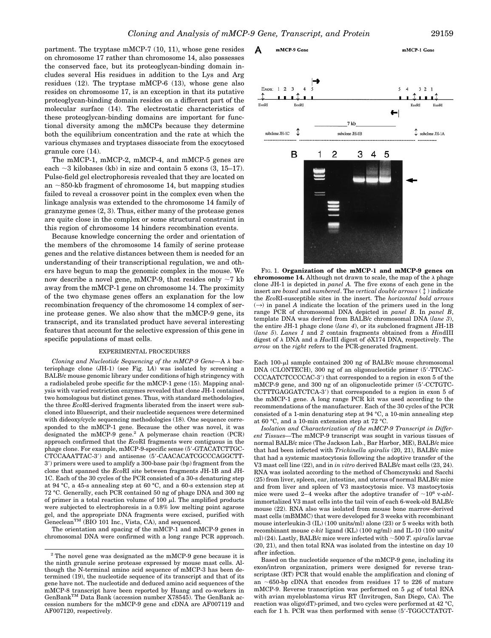Δ

mMCP-9 Gene

partment. The tryptase mMCP-7 (10, 11), whose gene resides on chromosome 17 rather than chromosome 14, also possesses the conserved face, but its proteoglycan-binding domain includes several His residues in addition to the Lys and Arg residues (12). The tryptase mMCP-6 (13), whose gene also resides on chromosome 17, is an exception in that its putative proteoglycan-binding domain resides on a different part of the molecular surface (14). The electrostatic characteristics of these proteoglycan-binding domains are important for functional diversity among the mMCPs because they determine both the equilibrium concentration and the rate at which the various chymases and tryptases dissociate from the exocytosed granule core (14).

The mMCP-1, mMCP-2, mMCP-4, and mMCP-5 genes are each  $\sim$ 3 kilobases (kb) in size and contain 5 exons (3, 15–17). Pulse-field gel electrophoresis revealed that they are located on an  $\sim$ 850-kb fragment of chromosome 14, but mapping studies failed to reveal a crossover point in the complex even when the linkage analysis was extended to the chromosome 14 family of granzyme genes (2, 3). Thus, either many of the protease genes are quite close in the complex or some structural constraint in this region of chromosome 14 hinders recombination events.

Because knowledge concerning the order and orientation of the members of the chromosome 14 family of serine protease genes and the relative distances between them is needed for an understanding of their transcriptional regulation, we and others have begun to map the genomic complex in the mouse. We now describe a novel gene, mMCP-9, that resides only  $\sim$ 7 kb away from the mMCP-1 gene on chromosome 14. The proximity of the two chymase genes offers an explanation for the low recombination frequency of the chromosome 14 complex of serine protease genes. We also show that the mMCP-9 gene, its transcript, and its translated product have several interesting features that account for the selective expression of this gene in specific populations of mast cells.

### EXPERIMENTAL PROCEDURES

*Cloning and Nucleotide Sequencing of the mMCP-9 Gene-A*  $\lambda$  *bac*teriophage clone (JH-1) (see Fig. 1*A*) was isolated by screening a BALB/c mouse genomic library under conditions of high stringency with a radiolabeled probe specific for the mMCP-1 gene (15). Mapping analysis with varied restriction enzymes revealed that clone JH-1 contained two homologous but distinct genes. Thus, with standard methodologies, the three *Eco*RI-derived fragments liberated from the insert were subcloned into Bluescript, and their nucleotide sequences were determined with dideoxy/cycle sequencing methodologies (18). One sequence corresponded to the mMCP-1 gene. Because the other was novel, it was designated the mMCP-9 gene.2 A polymerase chain reaction (PCR) approach confirmed that the *Eco*RI fragments were contiguous in the phage clone. For example, mMCP-9-specific sense (5'-GTACATCTTGC-CTCCAAATTAC-3') and antisense (5'-CAACACATCGCCCAGGCTT-39) primers were used to amplify a 300-base pair (bp) fragment from the clone that spanned the *Eco*RI site between fragments JH-1B and JH-1C. Each of the 30 cycles of the PCR consisted of a 30-s denaturing step at 94 °C, a 45-s annealing step at 60 °C, and a 60-s extension step at 72 °C. Generally, each PCR contained 50 ng of phage DNA and 300 ng of primer in a total reaction volume of 100  $\mu$ l. The amplified products were subjected to electrophoresis in a 0.8% low melting point agarose gel, and the appropriate DNA fragments were excised, purified with Geneclean<sup>TM</sup> (BIO 101 Inc., Vista, CA), and sequenced.

The orientation and spacing of the mMCP-1 and mMCP-9 genes in chromosomal DNA were confirmed with a long range PCR approach.



**chromosome 14.** Although not drawn to scale, the map of the  $\lambda$  phage clone JH-1 is depicted in *panel A.* The five exons of each gene in the insert are *boxed* and *numbered*. The *vertical double arrows*  $(\mathcal{L})$  indicate the *Eco*RI-susceptible sites in the insert. The *horizontal bold arrows*  $(\rightarrow)$  in panel *A* indicate the location of the primers used in the long range PCR of chromosomal DNA depicted in *panel B*. In *panel B*, template DNA was derived from BALB/c chromosomal DNA (*lane 3*), the entire JH-1 phage clone (*lane 4*), or its subcloned fragment JH-1B (*lane 5*). *Lanes 1* and *2* contain fragments obtained from a *Hin*dIII digest of  $\lambda$  DNA and a *HaeIII* digest of  $\phi$ X174 DNA, respectively. The *arrow* on the *right* refers to the PCR-generated fragment.

Each  $100-\mu l$  sample contained 200 ng of BALB/c mouse chromosomal DNA (CLONTECH), 300 ng of an oligonucleotide primer (5'-TTCAC-CCCAATCTCCCCAC-3') that corresponded to a region in exon 5 of the mMCP-9 gene, and 300 ng of an oligonucleotide primer (5'-CCTGTC-CCTTTGAGGATCTCA-3') that corresponded to a region in exon 5 of the mMCP-1 gene. A long range PCR kit was used according to the recommendations of the manufacturer. Each of the 30 cycles of the PCR consisted of a 1-min denaturing step at 94 °C, a 10-min annealing step at 60 °C, and a 10-min extension step at 72 °C.

*Isolation and Characterization of the mMCP-9 Transcript in Different Tissues—*The mMCP-9 transcript was sought in various tissues of normal BALB/c mice (The Jackson Lab., Bar Harbor, ME), BALB/c mice that had been infected with *Trichinella spiralis* (20, 21), BALB/c mice that had a systemic mastocytosis following the adoptive transfer of the V3 mast cell line (22), and in *in vitro* derived BALB/c mast cells (23, 24). RNA was isolated according to the method of Chomczynski and Sacchi (25) from liver, spleen, ear, intestine, and uterus of normal BALB/c mice and from liver and spleen of V3 mastocytosis mice. V3 mastocytosis mice were used 2–4 weeks after the adoptive transfer of  $\sim 10^6$  v- $abl$ immortalized V3 mast cells into the tail vein of each 6-week-old BALB/c mouse (22). RNA also was isolated from mouse bone marrow-derived mast cells (mBMMC) that were developed for 3 weeks with recombinant mouse interleukin-3 (IL) (100 units/ml) alone (23) or 5 weeks with both recombinant mouse c*-kit* ligand (KL) (100 ng/ml) and IL-10 (100 units/ ml) (24). Lastly, BALB/c mice were infected with  $\sim$  500 *T. spiralis* larvae (20, 21), and then total RNA was isolated from the intestine on day 10 after infection.

Based on the nucleotide sequence of the mMCP-9 gene, including its exon/intron organization, primers were designed for reverse transcriptase (RT) PCR that would enable the amplification and cloning of an  $\sim$  650-bp cDNA that encodes from residues 17 to 226 of mature mMCP-9. Reverse transcription was performed on  $5 \mu$ g of total RNA with avian myeloblastoma virus RT (Invitrogen, San Diego, CA). The reaction was oligo(dT)-primed, and two cycles were performed at 42 °C, each for  $1$  h. PCR was then performed with sense  $(5'$ -TGGCCTATGT-

mMCP-1 Gene

 $^{\rm 2}$  The novel gene was designated as the mMCP-9 gene because it is the ninth granule serine protease expressed by mouse mast cells. Although the N-terminal amino acid sequence of mMCP-3 has been determined (19), the nucleotide sequence of its transcript and that of its gene have not. The nucleotide and deduced amino acid sequences of the mMCP-8 transcript have been reported by Huang and co-workers in GenBankTM Data Bank (accession number X78545). The GenBank accession numbers for the mMCP-9 gene and cDNA are AF007119 and AF007120, respectively.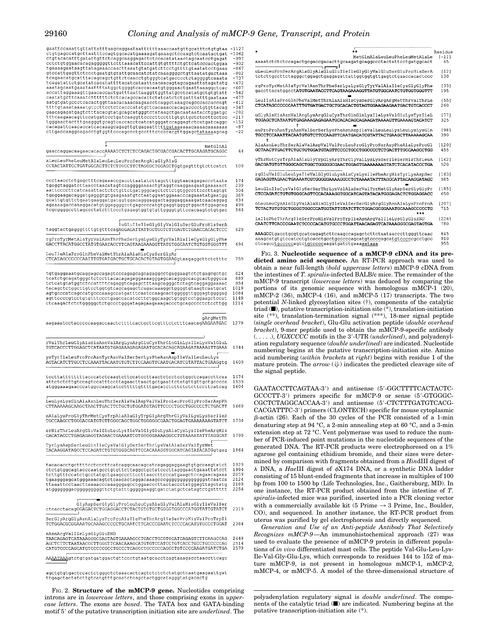| gaattccaaattgttattatttaagcaggaataattttttaaaccaatgttgcatttctgtgtaa -1127<br>ctgtgagccatgcttaatttccagtggcacatgaaaagatgaaagctccaagtctcaatactgat<br>ctgtacacatttgatattgttctcaggcaaggagactctccacatataactagcaatcctgagat<br>cctctgtggaacacagagggggttctttaaacattccattgtgttttctgttcatcccactggaa<br>tgaaaagaataagttatagaaaccaacttaaatgtatgatcttcctgttttgtaatatcctgaaa<br>gtccattgagttctccctgaatgtgtattgcaacatctatcaaaggggctgttaatatgactaaa<br>tcagaacatgcatttacagcagctgttctcaacctgtgggtcatgacccctctaggggtcaaata<br>tcagatattetgeatateaeatattttaeateataatteaeaaeagtageagaattatagatatg<br>aaatagcaatgaaataattttatggctggggtcaccacaatgtgggaactgaattaaaggctcac<br>aatgtgatgccctcacactggttaacacaaacaagaacctcaggctaaagcagcccaccaccagt<br>ttttgtaaataaaatgteetteeteteaeeeatatgtteaeaaaeeaeagaeeeetgtgttaeag<br>gaacagagatgagtetttacaegtatgeagcatgggtetataagetgacaataataectggatge<br>tgggaactactttgaagggtgcagtcaccacctcatcatgggatccaggagtctcatgatcaggc<br>cacagattcaacaccatcacaaagcagagttgtgagaatttttaataaaaacaaaacaaaaaaa<br>cttgaccaaggcagacctgtggttcccagccctgcctttctcccacgttggagctataaaagcag | $-1062$<br>$-997$<br>-932<br>$-867$<br>$-802$<br>-737<br>-672<br>-607<br>-542<br>-477<br>$-412$<br>$-347$<br>$-282$<br>$-217$<br>$-152$<br>$-87$<br>-22 |
|------------------------------------------------------------------------------------------------------------------------------------------------------------------------------------------------------------------------------------------------------------------------------------------------------------------------------------------------------------------------------------------------------------------------------------------------------------------------------------------------------------------------------------------------------------------------------------------------------------------------------------------------------------------------------------------------------------------------------------------------------------------------------------------------------------------------------------------------------------------------------------------------------------------------------------------------------------------------------------------------------------------------------------------------------------------------------|---------------------------------------------------------------------------------------------------------------------------------------------------------|
| MetGlnAl<br>gaaccaggacaagaacacaccAAAATCTCTCTCCAGACTGCGACCGACACTTGCAAGATGCAGGC                                                                                                                                                                                                                                                                                                                                                                                                                                                                                                                                                                                                                                                                                                                                                                                                                                                                                                                                                                                                | 44                                                                                                                                                      |
| aLeuLeuPheLeuMetAlaLeuLeuLeuProSerArgAlaGlyAlaG<br>CCTACTATTCCTGATGGCACTTCTCTTGCCTTCTAGGGCTGGAGCTGgtgagtttgtcttcatct                                                                                                                                                                                                                                                                                                                                                                                                                                                                                                                                                                                                                                                                                                                                                                                                                                                                                                                                                         | 109                                                                                                                                                     |
| ccctaacctctgagctttcagaaaccgaccttaatatcttagctttggtaacagagaccctaata<br>tgaggtaggatettaacetaacatagteeaggggaaaactgtaggteaaggaagaatgaaaaact<br>aattccccttcatcaaattactctctgttctgatgggcagctcttctgtggccttcccttagtgt<br>tgaggaagacaggatgagggtgtgaagaaatgtctaatggaatggaaacccagaaatatgaatgg<br>gcattgtgttctgaatgaaggatgatggtggacagggaggactagggaggaaagatcaacaggag<br>agaaaagaccaaaggacatgtggaggggcctgagccccatgtgaggtggggtggacttggagcag<br>tcgcggggccttagccctatctttccctgagagtggtgtttggggtgttccacaagtctgtgac                                                                                                                                                                                                                                                                                                                                                                                                                                                                                                                                                                               | 174<br>239<br>304<br>369<br>434<br>499<br>564                                                                                                           |
| luGluIleIleGlyGlyValGluSerGluProHisSerA<br>taggtactgagggttttgtgtttcagAGGAGATTATTGGTGGTGTTGAGTCTGAACCACACTCCC                                                                                                                                                                                                                                                                                                                                                                                                                                                                                                                                                                                                                                                                                                                                                                                                                                                                                                                                                                 | 629                                                                                                                                                     |
| rgProTyrMetAlaTyrValAsnThrPheSerLysLysGlyTyrValAlaIleCysGlyGlyPhe<br>GACCTTACATGGCCTATGTGAATACCTTCAGTAAGAAAGGTTATGTGGCAATCTGTGGTGGGTTT                                                                                                                                                                                                                                                                                                                                                                                                                                                                                                                                                                                                                                                                                                                                                                                                                                                                                                                                       | 694                                                                                                                                                     |
| LeuIleAlaProGlnPheValMetThrAlaAlaHisCysSerGlyAr<br>CTCATAGCCCCCCCAATTTGTGATGACTGCTGCACACTGTAGTGGAAGgtaagaggcttctctttc                                                                                                                                                                                                                                                                                                                                                                                                                                                                                                                                                                                                                                                                                                                                                                                                                                                                                                                                                        | 759                                                                                                                                                     |
| tgtgaggaaatgcaggagccagagtcccagagcagcagaggcctgaggaagtctctgagcgctgc<br>tcatctgcagatgggctctccttacacagagaggaaaagggagcacagggccacgcactgggcca<br>tctcatgtatggtctccattttcagaggtcagagctttaagcagggctctagtcaggaggaaaac<br>tacagctctggcttgtcctggtgtcagcagagctcagacaaaggctggggtgtaagtcaatgcat<br>agtgcccatcagccatgcccaaagccatgatttcaatccaagcactgggggttgggagtggggag<br>agttccccgtcctgtgtttccctgagccacatccttctggcaagctgtggtcctggaagctccat                                                                                                                                                                                                                                                                                                                                                                                                                                                                                                                                                                                                                                                   | 824<br>889<br>954<br>1019<br>1084<br>1149<br>1214                                                                                                       |
| gArgMetTh<br>aagaaatcctacccccaagaccaactcttttcactgcttcgtttctctttcaacagAAGAATGAC                                                                                                                                                                                                                                                                                                                                                                                                                                                                                                                                                                                                                                                                                                                                                                                                                                                                                                                                                                                               | 1279                                                                                                                                                    |
| rValThrLeuGlyAlaHisAsnValArgLysArgGluCysThrGlnGlnLysIleLysValGluL<br>TGTCACCCTTGGAGCTCATAATGTGAGAAAGAGAGAATGCACACAGAGGAAGATAAAAGTTGAAA                                                                                                                                                                                                                                                                                                                                                                                                                                                                                                                                                                                                                                                                                                                                                                                                                                                                                                                                       | 1344                                                                                                                                                    |
| ysTyrIleLeuProProAsnTyrAsnValSerSerLysPheAsnAspIleValLeuLeuLys<br>AGTACATCTTGCCTCCAAATTACAATGTGTCTTCCAAGTTCAATGACATCGTATTACTGAAGgtg                                                                                                                                                                                                                                                                                                                                                                                                                                                                                                                                                                                                                                                                                                                                                                                                                                                                                                                                          | 1409                                                                                                                                                    |
| tccttattttttttacccatctcaagtcttccatccttaactctcctcctggctcagaccttcaa<br>attctctcttgtccagtccatttccttagaacttaactgctgaattctatgttgttgctgcccca                                                                                                                                                                                                                                                                                                                                                                                                                                                                                                                                                                                                                                                                                                                                                                                                                                                                                                                                       | 1474<br>1539<br>1604                                                                                                                                    |
| LeuLysLysGlnAlaAsnLeuThrSerAlaValAspValValProLeuProGlyProSerAspPh                                                                                                                                                                                                                                                                                                                                                                                                                                                                                                                                                                                                                                                                                                                                                                                                                                                                                                                                                                                                            | 1669                                                                                                                                                    |
| eAlaLysProGlyThrMetCysTrpAlaAlaGlyTrpGlyArqThrGlyValLysLysSerIleS<br>TGCCAAGCCTGGGACGATGTGTTGGGCAGCTGGCTGGGGGCGAACTGGAGTGAAAAAAAGTATCT                                                                                                                                                                                                                                                                                                                                                                                                                                                                                                                                                                                                                                                                                                                                                                                                                                                                                                                                       | 1734                                                                                                                                                    |
| erHisThrLeuArgGluValGluLeuLysIleValGlyGluLysAlaCysLysIlePheArqHis<br>CACATACCCTGAGAGAGGTAGAACTGAAAATCGTGGGGGAAAAGGCCTGTAAAATATTTAGGCAT                                                                                                                                                                                                                                                                                                                                                                                                                                                                                                                                                                                                                                                                                                                                                                                                                                                                                                                                       | 1799                                                                                                                                                    |
| TyrLysAspSerLeuGlnIleCysValGlySerSerThrLysValAlaSerValTyrMet<br>TACAAGGATAGCCTCCAGATCTGTGTGGGCAGTTCCACAAAGGTGGCATCAGTATACATGgtgag                                                                                                                                                                                                                                                                                                                                                                                                                                                                                                                                                                                                                                                                                                                                                                                                                                                                                                                                            | 1864                                                                                                                                                    |
| tacacacctgcttttcctcccttcatcaggcaacagcatcagaggaggaagtgtgccaagtatct<br>ctctgtggcagtacccaatgcctgtgttcttaggctgctatcccttagggaactgaaattatcct<br>tettgttteeatetgeetatgetgaageeetteettaaeetteeeatgaageteeagaaeagaaa<br>ttaaattcctaacttaaaacccaaagggagcctggaacccttactaccctatggagttagctatg<br>atgggggggacgggggggggttctgtatttgggggaaggtgatctatgctcatagtctgattttt                                                                                                                                                                                                                                                                                                                                                                                                                                                                                                                                                                                                                                                                                                                        | 1929<br>1994<br>2059<br>2124<br>2189<br>2254                                                                                                            |
| GlyAspSerGlyGlyProLeuLeuCysAlaGlyValAlaHisGlyIleValSer<br>ctcacctacagGGAGACTCTGGAGGACCTCTACTGTGTGCTGGGGTGGCCCATGGTATTGTATCT                                                                                                                                                                                                                                                                                                                                                                                                                                                                                                                                                                                                                                                                                                                                                                                                                                                                                                                                                  | 2319                                                                                                                                                    |
| SerGlyArgGlyAsnAlaLysProProAlaIlePheThrArgIleSerProHisValProTrpIl<br>TCTGGACGCGGAAATGCAAAGCCCCCTGCAATCTTCACCCGAATCTCCCCACATGTGCCCTGGAT                                                                                                                                                                                                                                                                                                                                                                                                                                                                                                                                                                                                                                                                                                                                                                                                                                                                                                                                       | 2384                                                                                                                                                    |
| eAsnArgValIleLysGlyGluEND<br>TAACAGAGTCATAAAGGGCGAGTAGTGAAAAGCCTGACCTGCGTGCATCAGAGTCTTCAAGCCAG                                                                                                                                                                                                                                                                                                                                                                                                                                                                                                                                                                                                                                                                                                                                                                                                                                                                                                                                                                               | 2449                                                                                                                                                    |
| CATGTCCCCAGCATGTCCCCCCGCCTGCCCTCAGCCTGCCCCCAGCCTGTCCCCAAGATGATCTGA                                                                                                                                                                                                                                                                                                                                                                                                                                                                                                                                                                                                                                                                                                                                                                                                                                                                                                                                                                                                           | 2514<br>2579                                                                                                                                            |

agetgtgtgaetecaetetgggetetaaaeaeteagtetetetetatgeteaatgaagaattgat actatcttgtcatgtttgcaatctcagctactggcatagggtatgacact

FIG. 2. **Structure of the mMCP-9 gene.** Nucleotides comprising introns are in *lowercase letters*, and those comprising exons in *uppercase letters*. The exons are *boxed*. The TATA box and GATA-binding motif 5' of the putative transcription initiation site are *underlined*. The

|                                                                                             | $\ddot{}$                     | Residue   |
|---------------------------------------------------------------------------------------------|-------------------------------|-----------|
|                                                                                             | MetGlnAlaLeuLeuPheLeuMetAlaLe | $1 - 111$ |
| aaaatctctctccagactgcgaccgacacttgcaagatgcaggccctactattcctgatggcact<br>_, Լ<br>$\blacksquare$ |                               | 65        |
| iLeuLeuProSerArqAlaGlyAlaGluGluIleIleGlyGlyValGluSerGluProHisSerA                           |                               | [12]      |
| tctcttgccttctagggctggagctgaggagattattggtggtgttgagtctgaaccacactccc                           |                               | 130       |
| rgProTyrMetAlaTyrValAsnThrPheSerLysLysGlyTyrValAlaIleCysGlyGlyPhe                           |                               | [33]      |
| aaccttacatggcct <b>ATGTGAATACCTTCAGTAAGAAAGGTTATGTGGCAATCTGTGGTGGGTTT</b>                   |                               | 195       |
| LeuIleAlaProGlnPheValMetThrAlaAlaHisCysSerGlyArqArqMetThrValThrLe                           |                               | [55]      |
| <b>CTCATAGCCCCCCAATTTGTGATGACTGCTGCACACTGTAGTGGAAGAAGAATGACTGTCACCCT</b>                    |                               | 260       |
| uGlyAlaHisAsnValArqLysArqGluCysThrGlnGlnLysIleLysValGluLysTyrIleL                           |                               | [77]      |
| TGGAGCTCATAATGTGAGAAAGAGAGAATGCACACAGCAGAAGATAAAAGTTGAAAAGTACATCT                           |                               | 325       |
| euProProAsnTyrAsnValSerSerLysPheAsnAspIleValLeuLeuLysLeuLysLysGln                           |                               | [98]      |
| TGCCTCCAAATTACAATGTGTCTTCCAAGTTCAATGACATCGTATTACTGAAGCTTAAAAAGCAA                           |                               | 390       |
| AlaAsnLeuThrSerAlaValAspValValProLeuProGlyProSerAspPheAlaLysProGl                           |                               | 1201      |
| 3CTAACTTGACTTCTGCTGTGGATGTAGTTCCCCTGCCTGGCCCCTCTGACTTTGCCAAGCCTGG                           |                               | 455       |
| yThrMetCysTrpAlaAlaGlyTrpGlyArqThrGlyValLysLysSerIleSerHisThrLeuA                           |                               | [142]     |
| GACGATGTGTTGGGCAGCTGGCTGGGGGCGAACTGGAGTGAAAAAAAGTATCTCACATACCCTGA                           |                               | 520       |
| rqGluValGluLeuLvsIleValGlvGluLvsAlaCvsLvsIlePheArqHisTvrLvsAspSer                           |                               | [163]     |
| <b>GAGAGGTAGAACTGAAAATCGTGGGGGAAAAGGCCTGTAAAATATTTAGGCATTACAAGGATAGC</b>                    |                               | 585       |
| LeuGlnIleCysValGlySerSerThrLysValAlaSerValTyrMetGlyAspSerGlyGlyPr                           |                               | 11851     |
| <b>CTCCAGATCTGTGTGGGCAGTTCCACAAAGGTGGCATCAGTATACATGGGAGACTCTGGAGGACC</b>                    |                               | 650       |
| bLeuLeuCvsAlaGlvValAlaHisGlvIleValSerSerGlvArqGlvAsnAlaLvsProProA                           |                               | 12071     |
| TCTACTGTGTGCTGGGGTGGCCCATGGTATTGTATCTTCTGGACGCGGAAATGCAAAGCCCCCTG                           | ***                           | 715       |
| laIlePheThrArqIleSerProHisValProTrpIleAsnArqValIleLvsGlvGluEND                              |                               | [226]     |
| CAATCTTCACCCGAATCTCCCCACATGTGCCCTGGATTAACAGAGTCATAAAGGGCGAGTAGTGA                           |                               | 780       |
| AAAGCCtgacctgcgtgcatcagagtcttcaagccagagctcttctaataacccttgggttcaac                           |                               | 845       |
| aaagcatgtgtccatcctgtcacctgcctgccccagcatgtccccagcatgtcccccgcctgcc                            |                               | 910       |
| ctcagcctgcccccagtctgtccccaagatgatctgaaaaataaa                                               |                               | 955       |

FIG. 3. **Nucleotide sequence of a mMCP-9 cDNA and its predicted amino acid sequence.** An RT-PCR approach was used to obtain a near full-length (*bold uppercase letters*) mMCP-9 cDNA from the intestines of *T. spiralis*-infected BALB/c mice. The remainder of the mMCP-9 transcript (*lowercase letters*) was deduced by comparing the portions of its genomic sequence with homologous mMCP-1 (20), mMCP-2 (36), mMCP-4 (16), and mMCP-5 (17) transcripts. The two potential *N*-linked glycosylation sites (†), components of the catalytic triad  $($ , putative transcription-initiation site  $(*)$ , translation-initiation site (\*\*), translation-termination signal (\*\*\*), 18-mer signal peptide (*single overhead bracket*), Glu-Glu activation peptide (*double overhead bracket*), 9-mer peptide used to obtain the mMCP-9-specific antibody  $($ ....), *UGXCCCC* motifs in the 3'-UTR (*underlined*), and polyadenylation regulatory sequence (*double underlined*) are indicated. Nucleotide numbering begins at the putative transcription-initiation site. Amino acid numbering (*within brackets* at *right*) begins with residue 1 of the mature protein. The  $arrow$   $(\Downarrow)$  indicates the predicted cleavage site of the signal peptide.

GAATACCTTCAGTAA-3') and antisense (5'-GGCTTTTCACTACTC-GCCCTT-3') primers specific for mMCP-9 or sense (5'-GTGGGC-CGCTCTAGGCACCAA-3') and antisense (5'-CTCTTTGATGTCACG-CACGATTTC-3') primers (CLONTECH) specific for mouse cytoplasmic  $\beta$ -actin (26). Each of the 30 cycles of the PCR consisted of a 1-min denaturing step at 94 °C, a 2-min annealing step at 60 °C, and a 3-min extension step at 72 °C. Vent polymerase was used to reduce the number of PCR-induced point mutations in the nucleotide sequences of the generated DNA. The RT-PCR products were electrophoresed on a 1% agarose gel containing ethidium bromide, and their sizes were determined by comparison with fragments obtained from a *Hin*dIII digest of  $\lambda$  DNA, a *Hae*III digest of  $\phi$ X174 DNA, or a synthetic DNA ladder consisting of 15 blunt-ended fragments that increase in multiples of 100 bp from 100 to 1500 bp (Life Technologies, Inc., Gaithersburg, MD). In one instance, the RT-PCR product obtained from the intestine of *T. spiralis*-infected mice was purified, inserted into a PCR cloning vector with a commercially available kit (5 Prime  $\rightarrow$  3 Prime, Inc., Boulder, CO), and sequenced. In another instance, the RT-PCR product from uterus was purified by gel electrophoresis and directly sequenced.

*Generation and Use of an Anti-peptide Antibody That Selectively Recognizes mMCP-9—*An immunohistochemical approach (27) was used to evaluate the presence of mMCP-9 protein in different populations of *in vivo* differentiated mast cells. The peptide Val-Glu-Leu-Lys-Ile-Val-Gly-Glu-Lys, which corresponds to residues 144 to 152 of mature mMCP-9, is not present in homologous mMCP-1, mMCP-2, mMCP-4, or mMCP-5. A model of the three-dimensional structure of

polyadenylation regulatory signal is *double underlined*. The components of the catalytic triad (f) are indicated. Numbering begins at the putative transcription-initiation site (\*).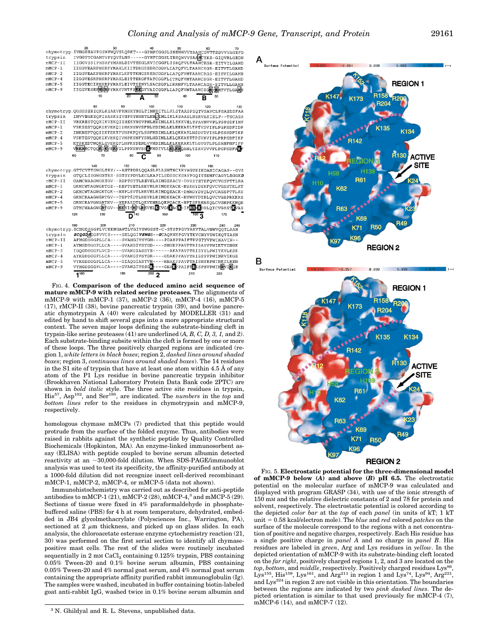|           | 20     | 30  |                               | 40        | 50                       | 60                                                                          | 70    |
|-----------|--------|-----|-------------------------------|-----------|--------------------------|-----------------------------------------------------------------------------|-------|
|           |        |     |                               |           |                          | chymotryp.IVNGEEAVPGSWPWQVSLQDKT---GFHFCGGSLINENWVVTAAHCGVTTSDVVVAGEFD      |       |
| trvpsin   |        |     |                               |           |                          | IVGGYTCGANTVPYQVSLNS-----GYHFCGGSLINSQWVVSAAECYKS-GIQVRLGEDN                |       |
| rMCP-II   |        |     |                               |           |                          | IIGGVESIPHSRPYMAHLDIVTEKGLRVICGGFLISRQFVLTAAHCKGR-EITVILGAHD                |       |
| mMCP-1    |        |     |                               |           |                          | IIGGVEARPHSRPYMAHLKIITDRGSEDRCGGFLIAPQFVLTAAHCKGR-EITVTLGAHD                |       |
| $mMCP-2$  |        |     |                               |           |                          | IIGGVEAKPHSRPYMAYLKFTTKNGSKERCGGFLIAPQFVMTAAHCRGS-EISVILGAHN                |       |
| $mMCP-4$  |        |     |                               |           |                          | IIGGVESRPHSRPYMAHLEITTERGFTATCGGFLITROFVMTAAHCSGR-EITVTLGAHD                |       |
| $mMCP-5$  |        |     |                               |           |                          | IIGGTECIPHSRPYMAYLEIVTSENYLSACSGFLIRRNFVLTAAHCAGR-SITVLLGAHN                |       |
| mMCP-9    |        |     |                               |           |                          | IIGGVESEPEREYMAYVNTFSKRGYVAICGGFLIAPOFVMTAAHCSGR-EMTVTLG                    | aliit |
|           |        | 10  | 20                            | 30        | 40                       | 50                                                                          |       |
|           |        |     |                               |           |                          |                                                                             |       |
|           | 80     |     | 90                            | 100       | 110                      | 120                                                                         | 130   |
|           |        |     |                               |           |                          | chymotryp.QGSSSEKIQKLKIAKVFKNSKYNSLTINNDITLLKLSTAASFSQTVSAVCLPSASDDFAA      |       |
| trypsin   |        |     |                               |           |                          | INVVEGNEOFISASKSIVHPSYNSNTLNNDLMLIKLKSAASLNSRVASISLP--TSCASA                |       |
| rMCP-II   |        |     |                               |           |                          | VRKRESTQQKIKVEKQIIHESYNSVPNLHDIMLLKLEKKVELTPAVNVVPLPSPSDFIHP                |       |
| $mMCP-1$  |        |     |                               |           |                          | VSKSESTOORIKVEKOIIHKNYNVSFNLYDIMLLKLEEKAELTPTVDVIPLPGPSDFIDP                |       |
| $mMCP-2$  |        |     |                               |           |                          | INKNEPTQQIIKTEKTFVHPKFQYLSGFNDIMLLKLQKKAELNSDVDVISLPSSSDFIKP                |       |
| $mMCP-4$  |        |     |                               |           |                          | VSKTESTOOKIKVEKOIVHPKYNFYSNLHDIMLLKLOKKAKETPSVNVIPLPRPSDFIKP                |       |
| $mMCP-5$  |        |     |                               |           |                          | KTSKEDTWOKLEVEKOFLHPKYDENLVVHDIMLLKLKEKAKLTLGVGTLPLSANFNFIPP                |       |
| mMCP-9    |        |     |                               |           |                          | VRKRECTOOKIKVEKVILPPNYNVSSKFNDIVLLKUKKOANLTSAVDVVPLPGPSDFAKF                |       |
|           | 60     | 70  | 80                            | 90        | 100                      | 110                                                                         |       |
|           |        |     |                               |           |                          |                                                                             |       |
|           | 140    |     | 150                           | 160       | 170                      | 180                                                                         |       |
|           |        |     |                               |           |                          | chymotryp.GTTCVTTGWGLTRY/--ANTPDRLQQASLPLLSNTNCKKYWGTKIKDAMICAGAS--GVS      |       |
| trypsin   |        |     |                               |           |                          | GTOCLISGWGNTKS-SGTSYPDVLKCLKAPILSDSSCKSAYPGOITSNMFCAGYLEGGKD                |       |
| $rMCP-II$ |        |     |                               |           |                          | GAMCWAAGWGKTGV--RDPTSYTLREVELRIMDEKACV-DYRYYEYKFOVCVGSPTTLRA                |       |
| $mMCP-1$  |        |     |                               |           |                          | GKMCWTAGWGKTGE--KEPTSETLREVELRIMDKEACK-MYKHYDYNFQVCVGSSTKLKT                |       |
| $mMCP-2$  |        |     |                               |           |                          | GKMCWTAGWGKTGK--NNPLSVTLREVELRIMDOEACK-DHNDYDYOLOVCAGSPTTLKS                |       |
| $mMCP-4$  |        |     |                               |           |                          | GKMCRAAGWGRTGV--TEPTSDTLREVKLRIMDKEACK-NYWHYDYNLOVCVGSPRKKRS                |       |
| $mMCP-5$  |        |     |                               |           |                          | GRMCRAVGWGRTNV--NEPASDTLOEVKMRLOEPOACK-HFTSFRHNSOLCVGNPKKMON                |       |
| $mMCP-9$  |        |     |                               |           |                          | GTMCWAAGWGRTGV--KKSISHTLAEVELKIVGERACK-IFRHAKOSLOICVGSSTKVAS                |       |
|           | 120    | 130 |                               | 150       |                          | 170                                                                         |       |
|           |        |     |                               |           |                          |                                                                             |       |
|           | 190    | 200 | 210                           | 220       | 230                      | 240                                                                         | 245   |
|           |        |     |                               |           |                          | chymotryp.SCMGDSGGPLVCKKNGAWTLVGIVSWGSST-C-STSTPGVYARVTALVNWVOOTLAAN        |       |
| trypsin   |        |     |                               |           |                          | <i>SCQGDS</i> GGPVVCS----GKLQGI <i>VSWG</i> S--GCAQKNKPGVYTKVCNYVSWIKQTIASN |       |
| rMCP-II   |        |     |                               |           |                          | AFMGDSGGPLLCA----GVAHGIVSYGH----PDAKPPAIFTRVSTYVPWINAVIN--                  |       |
| $mMCP-1$  |        |     |                               |           |                          | AYMGDSGGPLLCA----GVAHGIVSYGD----SHGKPPAVFTRISAYVPWIKTVINGK                  |       |
| $mMCP-2$  |        |     |                               |           |                          | IGOGDSGGPLVCD----GVAHGIASSYE------AKAPAVFTRISYYLPWIYKVLKSK                  |       |
| $mMCP-4$  |        |     |                               |           |                          | AYKGDSGGPLLCA----GVAHGIVSYGR----GDAKPPAVFTRISSYVPWINRVIKGE                  |       |
| $mMCP-5$  |        |     |                               |           |                          | VYKGDSGGPLLCA----GIAOGIASYVH----RNAKPPAVFTRISHYRPWINKILREN                  |       |
| $mMCP-9$  |        |     | VYMGDSGGPLLCA----GVAHGIVSSGR- |           | ---GNARPPAIFTRISPHVPWING |                                                                             |       |
|           | $-180$ |     | 190                           | $200 - 2$ | 210                      | 220                                                                         |       |
|           |        |     |                               |           |                          |                                                                             |       |

FIG. 4. **Comparison of the deduced amino acid sequence of mature mMCP-9 with related serine proteases.** The alignments of mMCP-9 with mMCP-1 (37), mMCP-2 (36), mMCP-4 (16), mMCP-5 (17), rMCP-II (38), bovine pancreatic trypsin (39), and bovine pancreatic chymotrypsin A (40) were calculated by MODELLER (31) and edited by hand to shift several gaps into a more appropriate structural context. The seven major loops defining the substrate-binding cleft in trypsin-like serine proteases (41) are underlined (*A, B, C, D, 3, 1,* and *2)*. Each substrate-binding subsite within the cleft is formed by one or more of these loops. The three positively charged regions are indicated (region 1, *white letters in black boxes*; region 2, *dashed lines around shaded boxes*; region 3, *continuous lines around shaded boxes*). The 14 residues in the S1 site of trypsin that have at least one atom within 4.5 Å of any atom of the P1 Lys residue in bovine pancreatic trypsin inhibitor (Brookhaven National Laboratory Protein Data Bank code 2PTC) are shown in *bold italic* style. The three active site residues in trypsin, His<sup>57</sup>, Asp<sup>102</sup>, and Ser<sup>195</sup>, are indicated. The *numbers* in the *top* and *bottom lines* refer to the residues in chymotrypsin and mMCP-9, respectively.

homologous chymase mMCPs (7) predicted that this peptide would protrude from the surface of the folded enzyme. Thus, antibodies were raised in rabbits against the synthetic peptide by Quality Controlled Biochemicals (Hopkinton, MA). An enzyme-linked immunosorbent assay (ELISA) with peptide coupled to bovine serum albumin detected reactivity at an  $\sim$ 30,000-fold dilution. When SDS-PAGE/immunoblot analysis was used to test its specificity, the affinity-purified antibody at a 1000-fold dilution did not recognize insect cell-derived recombinant mMCP-1, mMCP-2, mMCP-4, or mMCP-5 (data not shown).

Immunohistochemistry was carried out as described for anti-peptide antibodies to mMCP-1 (21), mMCP-2 (28), mMCP-4,3 and mMCP-5 (29). Sections of tissue were fixed in 4% paraformaldehyde in phosphatebuffered saline (PBS) for 4 h at room temperature, dehydrated, embedded in JB4 glycolmethacrylate (Polysciences Inc., Warrington, PA), sectioned at 2  $\mu$ m thickness, and picked up on glass slides. In each analysis, the chloroacetate esterase enzyme cytochemistry reaction (21, 30) was performed on the first serial section to identify all chymasepositive mast cells. The rest of the slides were routinely incubated sequentially in  $2 \text{ mM } CaCl<sub>2</sub>$  containing 0.125% trypsin, PBS containing 0.05% Tween-20 and 0.1% bovine serum albumin, PBS containing 0.05% Tween-20 and 4% normal goat serum, and 4% normal goat serum containing the appropriate affinity purified rabbit immunoglobulin (Ig). The samples were washed, incubated in buffer containing biotin-labeled goat anti-rabbit IgG, washed twice in 0.1% bovine serum albumin and

<sup>3</sup> N. Ghildyal and R. L. Stevens, unpublished data.





FIG. 5. **Electrostatic potential for the three-dimensional model of mMCP-9 below (***A***) and above (***B***) pH 6.5.** The electrostatic potential on the molecular surface of mMCP-9 was calculated and displayed with program GRASP (34), with use of the ionic strength of 150 mM and the relative dielectric constants of 2 and 78 for protein and solvent, respectively. The electrostatic potential is colored according to the depicted *color bar* at the *top* of each *panel* (in units of kT; 1 kT unit 5 0.58 kcal/electron mole). The *blue* and *red* colored *patches* on the surface of the molecule correspond to the regions with a net concentration of positive and negative charges, respectively. Each His residue has a single positive charge in *panel A* and no charge in *panel B*. His residues are labeled in *green*, Arg and Lys residues in *yellow*. In the depicted orientation of mMCP-9 with its substrate-binding cleft located on the *far right*, positively charged regions 1, 2, and 3 are located on the top, bottom, and *middle*, respectively. Positively charged residues Lys<sup>86</sup>, Lys<sup>155</sup>, His<sup>159</sup>, Lys<sup>161</sup>, and Arg<sup>211</sup> in region 1 and Lys<sup>74</sup>, Lys<sup>94</sup>, Arg<sup>221</sup>, and  ${\rm Lys}^{224}$  in region 2 are not visible in this orientation. The boundaries between the regions are indicated by two *pink dashed lines*. The depicted orientation is similar to that used previously for mMCP-4 (7), mMCP-6 (14), and mMCP-7 (12).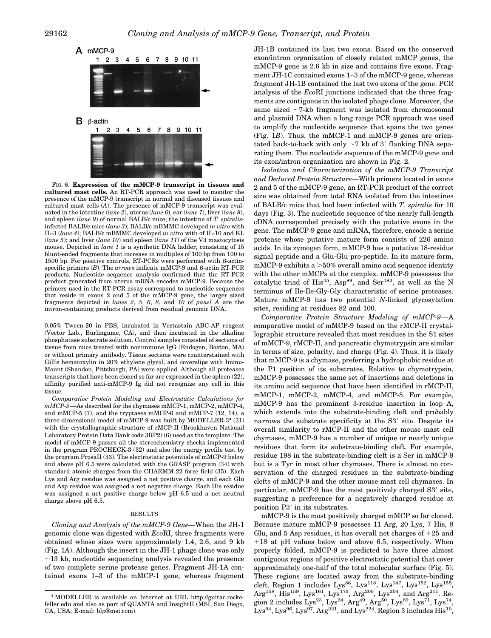

FIG. 6. **Expression of the mMCP-9 transcript in tissues and cultured mast cells.** An RT-PCR approach was used to monitor the presence of the mMCP-9 transcript in normal and diseased tissues and cultured mast cells (*A*). The presence of mMCP-9 transcript was evaluated in the intestine (*lane 2*), uterus (*lane 6*), ear (*lane 7*), liver (*lane 8*), and spleen (*lane 9*) of normal BALB/c mice; the intestine of *T. spiralis*infected BALB/c mice (*lane 3*); BALB/c mBMMC developed *in vitro* with IL-3 (*lane 4*); BALB/c mBMMC developed *in vitro* with of IL-10 and KL (*lane 5*); and liver (*lane 10*) and spleen (*lane 11*) of the V3 mastocytosis mouse. Depicted in *lane 1* is a synthetic DNA ladder, consisting of 15 blunt-ended fragments that increase in multiples of 100 bp from 100 to 1500 bp. For positive controls, RT-PCRs were performed with  $\beta$ -actinspecific primers  $(B)$ . The *arrows* indicate mMCP-9 and  $\beta$ -actin RT-PCR products. Nucleotide sequence analysis confirmed that the RT-PCR product generated from uterus mRNA encodes mMCP-9. Because the primers used in the RT-PCR assay correspond to nucleotide sequences that reside in exons 2 and 5 of the mMCP-9 gene, the larger sized fragments depicted in *lanes 2*, *5*, *6*, *8*, and *10* of *panel A* are the intron-containing products derived from residual genomic DNA.

0.05% Tween-20 in PBS, incubated in Vectastain ABC-AP reagent (Vector Lab., Burlingame, CA), and then incubated in the alkaline phosphatase substrate solution. Control samples consisted of sections of tissue from mice treated with nonimmune IgG (Endogen, Boston, MA) or without primary antibody. Tissue sections were counterstained with Gill's hematoxylin in 20% ethylene glycol, and coverslips with Immu-Mount (Shandon, Pittsburgh, PA) were applied. Although all proteases transcripts that have been cloned so far are expressed in the spleen (22), affinity purified anti-mMCP-9 Ig did not recognize any cell in this tissue.

*Comparative Protein Modeling and Electrostatic Calculations for mMCP-9—*As described for the chymases mMCP-1, mMCP-2, mMCP-4, and mMCP-5 (7), and the tryptases mMCP-6 and mMCP-7 (12, 14), a three-dimensional model of mMCP-9 was built by MODELLER-3<sup>4</sup> (31) with the crystallographic structure of rMCP-II (Brookhaven National Laboratory Protein Data Bank code 3RP2) (6) used as the template. The model of mMCP-9 passes all the stereochemistry checks implemented in the program PROCHECK-3 (32) and also the energy profile test by the program ProsaII (33). The electrostatic potentials of mMCP-9 below and above pH 6.5 were calculated with the GRASP program (34) with standard atomic charges from the CHARMM-22 force field (35). Each Lys and Arg residue was assigned a net positive charge, and each Glu and Asp residue was assigned a net negative charge. Each His residue was assigned a net positive charge below pH 6.5 and a net neutral charge above pH 6.5.

#### RESULTS

*Cloning and Analysis of the mMCP-9 Gene—*When the JH-1 genomic clone was digested with *Eco*RI, three fragments were obtained whose sizes were approximately 1.4, 2.6, and 9 kb (Fig. 1*A*). Although the insert in the JH-1 phage clone was only  $\sim$ 13 kb, nucleotide sequencing analysis revealed the presence of two complete serine protease genes. Fragment JH-1A contained exons 1–3 of the mMCP-1 gene, whereas fragment JH-1B contained its last two exons. Based on the conserved exon/intron organization of closely related mMCP genes, the mMCP-9 gene is 2.6 kb in size and contains five exons. Fragment JH-1C contained exons 1–3 of the mMCP-9 gene, whereas fragment JH-1B contained the last two exons of the gene. PCR analysis of the *Eco*RI junctions indicated that the three fragments are contiguous in the isolated phage clone. Moreover, the same sized  $\sim$ 7-kb fragment was isolated from chromosomal and plasmid DNA when a long range PCR approach was used to amplify the nucleotide sequence that spans the two genes (Fig. 1*B*). Thus, the mMCP-1 and mMCP-9 genes are orientated back-to-back with only  $\sim$ 7 kb of 3' flanking DNA separating them. The nucleotide sequence of the mMCP-9 gene and its exon/intron organization are shown in Fig. 2.

*Isolation and Characterization of the mMCP-9 Transcript and Deduced Protein Structure—*With primers located in exons 2 and 5 of the mMCP-9 gene, an RT-PCR product of the correct size was obtained from total RNA isolated from the intestines of BALB/c mice that had been infected with *T. spiralis* for 10 days (Fig. 3). The nucleotide sequence of the nearly full-length cDNA corresponded precisely with the putative exons in the gene. The mMCP-9 gene and mRNA, therefore, encode a serine protease whose putative mature form consists of 226 amino acids. In its zymogen form, mMCP-9 has a putative 18-residue signal peptide and a Glu-Glu pro-peptide. In its mature form, mMCP-9 exhibits a  $>50\%$  overall amino acid sequence identity with the other mMCPs at the complex. mMCP-9 possesses the catalytic triad of  $His^{45}$ , Asp<sup>89</sup>, and Ser<sup>182</sup>, as well as the N terminus of Ile-Ile-Gly-Gly characteristic of serine proteases. Mature mMCP-9 has two potential *N*-linked glycosylation sites, residing at residues 82 and 100.

*Comparative Protein Structure Modeling of mMCP-9—*A comparative model of mMCP-9 based on the rMCP-II crystallographic structure revealed that most residues in the S1 sites of mMCP-9, rMCP-II, and pancreatic chymotrypsin are similar in terms of size, polarity, and charge (Fig. 4). Thus, it is likely that mMCP-9 is a chymase, preferring a hydrophobic residue at the P1 position of its substrates. Relative to chymotrypsin, mMCP-9 possesses the same set of insertions and deletions in its amino acid sequence that have been identified in rMCP-II, mMCP-1, mMCP-2, mMCP-4, and mMCP-5. For example, mMCP-9 has the prominent 3-residue insertion in loop A, which extends into the substrate-binding cleft and probably narrows the substrate specificity at the S3' site. Despite its overall similarity to rMCP-II and the other mouse mast cell chymases, mMCP-9 has a number of unique or nearly unique residues that form its substrate-binding cleft. For example, residue 198 in the substrate-binding cleft is a Ser in mMCP-9 but is a Tyr in most other chymases. There is almost no conservation of the charged residues in the substrate-binding clefts of mMCP-9 and the other mouse mast cell chymases. In particular, mMCP-9 has the most positively charged S3' site, suggesting a preference for a negatively charged residue at position P3' in its substrates.

mMCP-9 is the most positively charged mMCP so far cloned. Because mature mMCP-9 possesses 11 Arg, 20 Lys, 7 His, 8 Glu, and  $5$  Asp residues, it has overall net charges of  $+25$  and  $+18$  at pH values below and above 6.5, respectively. When properly folded, mMCP-9 is predicted to have three almost contiguous regions of positive electrostatic potential that cover approximately one-half of the total molecular surface (Fig. 5). These regions are located away from the substrate-binding cleft. Region 1 includes  $Lys^{86}$ ,  $Lys^{118}$ ,  $Lys^{147}$ ,  $Lys^{152}$ ,  $Lys^{155}$ , Arg<sup>158</sup>, His<sup>159</sup>, Lys<sup>161</sup>, Lys<sup>173</sup>, Arg<sup>200</sup>, Lys<sup>204</sup>, and Arg<sup>211</sup>. Region 2 includes Lys<sup>23</sup>, Lys<sup>24</sup>, Arg<sup>49</sup>, Arg<sup>50</sup>, Lys<sup>69</sup>, Lys<sup>71</sup>, Lys<sup>74</sup>,  $\text{Lys}^{94}$ ,  $\text{Lys}^{96}$ ,  $\text{Lys}^{97}$ ,  $\text{Arg}^{221}$ , and  $\text{Lys}^{224}$ . Region 3 includes His<sup>10</sup>.

<sup>4</sup> MODELLER is available on Internet at URL http://guitar.rockefeller.edu and also as part of QUANTA and InsightII (MSI, San Diego, CA, USA; E-mail: blp@msi.com).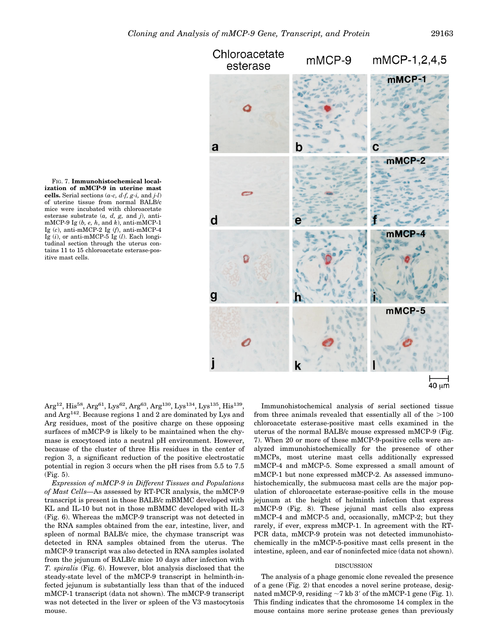



Arg<sup>12</sup>, His<sup>58</sup>, Arg<sup>61</sup>, Lys<sup>62</sup>, Arg<sup>63</sup>, Arg<sup>130</sup>, Lys<sup>134</sup>, Lys<sup>135</sup>, His<sup>139</sup>, and  $\text{Arg}^{142}$ . Because regions 1 and 2 are dominated by Lys and Arg residues, most of the positive charge on these opposing surfaces of mMCP-9 is likely to be maintained when the chymase is exocytosed into a neutral pH environment. However, because of the cluster of three His residues in the center of region 3, a significant reduction of the positive electrostatic potential in region 3 occurs when the pH rises from 5.5 to 7.5 (Fig. 5).

*Expression of mMCP-9 in Different Tissues and Populations of Mast Cells—*As assessed by RT-PCR analysis, the mMCP-9 transcript is present in those BALB/c mBMMC developed with KL and IL-10 but not in those mBMMC developed with IL-3 (Fig. 6). Whereas the mMCP-9 transcript was not detected in the RNA samples obtained from the ear, intestine, liver, and spleen of normal BALB/c mice, the chymase transcript was detected in RNA samples obtained from the uterus. The mMCP-9 transcript was also detected in RNA samples isolated from the jejunum of BALB/c mice 10 days after infection with *T. spiralis* (Fig. 6). However, blot analysis disclosed that the steady-state level of the mMCP-9 transcript in helminth-infected jejunum is substantially less than that of the induced mMCP-1 transcript (data not shown). The mMCP-9 transcript was not detected in the liver or spleen of the V3 mastocytosis mouse.

Immunohistochemical analysis of serial sectioned tissue from three animals revealed that essentially all of the  $>100$ chloroacetate esterase-positive mast cells examined in the uterus of the normal BALB/c mouse expressed mMCP-9 (Fig. 7). When 20 or more of these mMCP-9-positive cells were analyzed immunohistochemically for the presence of other mMCPs, most uterine mast cells additionally expressed mMCP-4 and mMCP-5. Some expressed a small amount of mMCP-1 but none expressed mMCP-2. As assessed immunohistochemically, the submucosa mast cells are the major population of chloroacetate esterase-positive cells in the mouse jejunum at the height of helminth infection that express mMCP-9 (Fig. 8). These jejunal mast cells also express mMCP-4 and mMCP-5 and, occasionally, mMCP-2; but they rarely, if ever, express mMCP-1. In agreement with the RT-PCR data, mMCP-9 protein was not detected immunohistochemically in the mMCP-5-positive mast cells present in the intestine, spleen, and ear of noninfected mice (data not shown).

## DISCUSSION

The analysis of a phage genomic clone revealed the presence of a gene (Fig. 2) that encodes a novel serine protease, designated mMCP-9, residing  $\sim$ 7 kb 3' of the mMCP-1 gene (Fig. 1). This finding indicates that the chromosome 14 complex in the mouse contains more serine protease genes than previously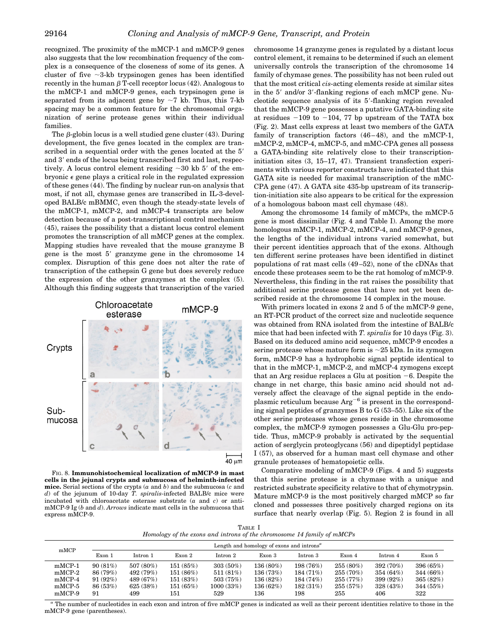recognized. The proximity of the mMCP-1 and mMCP-9 genes also suggests that the low recombination frequency of the complex is a consequence of the closeness of some of its genes. A cluster of five  $\sim$ 3-kb trypsinogen genes has been identified recently in the human  $\beta$  T-cell receptor locus (42). Analogous to the mMCP-1 and mMCP-9 genes, each trypsinogen gene is separated from its adjacent gene by  $\sim$ 7 kb. Thus, this 7-kb spacing may be a common feature for the chromosomal organization of serine protease genes within their individual families.

The  $\beta$ -globin locus is a well studied gene cluster (43). During development, the five genes located in the complex are transcribed in a sequential order with the genes located at the 5' and 3' ends of the locus being transcribed first and last, respectively. A locus control element residing  $\sim 30$  kb 5' of the embryonic  $\epsilon$  gene plays a critical role in the regulated expression of these genes (44). The finding by nuclear run-on analysis that most, if not all, chymase genes are transcribed in IL-3-developed BALB/c mBMMC, even though the steady-state levels of the mMCP-1, mMCP-2, and mMCP-4 transcripts are below detection because of a post-transcriptional control mechanism (45), raises the possibility that a distant locus control element promotes the transcription of all mMCP genes at the complex. Mapping studies have revealed that the mouse granzyme B gene is the most  $5'$  granzyme gene in the chromosome  $14$ complex. Disruption of this gene does not alter the rate of transcription of the cathepsin G gene but does severely reduce the expression of the other granzymes at the complex (5). Although this finding suggests that transcription of the varied





chromosome 14 granzyme genes is regulated by a distant locus control element, it remains to be determined if such an element universally controls the transcription of the chromosome 14 family of chymase genes. The possibility has not been ruled out that the most critical *cis*-acting elements reside at similar sites in the 5' and/or 3'-flanking regions of each mMCP gene. Nucleotide sequence analysis of its 5'-flanking region revealed that the mMCP-9 gene possesses a putative GATA-binding site at residues  $-109$  to  $-104$ , 77 bp upstream of the TATA box (Fig. 2). Mast cells express at least two members of the GATA family of transcription factors (46–48), and the mMCP-1, mMCP-2, mMCP-4, mMCP-5, and mMC-CPA genes all possess a GATA-binding site relatively close to their transcriptioninitiation sites (3, 15–17, 47). Transient transfection experiments with various reporter constructs have indicated that this GATA site is needed for maximal transcription of the mMC-CPA gene (47). A GATA site 435-bp upstream of its transcription-initiation site also appears to be critical for the expression of a homologous baboon mast cell chymase (48).

Among the chromosome 14 family of mMCPs, the mMCP-5 gene is most dissimilar (Fig. 4 and Table I). Among the more homologous mMCP-1, mMCP-2, mMCP-4, and mMCP-9 genes, the lengths of the individual introns varied somewhat, but their percent identities approach that of the exons. Although ten different serine proteases have been identified in distinct populations of rat mast cells (49–52), none of the cDNAs that encode these proteases seem to be the rat homolog of mMCP-9. Nevertheless, this finding in the rat raises the possibility that additional serine protease genes that have not yet been described reside at the chromosome 14 complex in the mouse.

With primers located in exons 2 and 5 of the mMCP-9 gene, an RT-PCR product of the correct size and nucleotide sequence was obtained from RNA isolated from the intestine of BALB/c mice that had been infected with *T. spiralis* for 10 days (Fig. 3). Based on its deduced amino acid sequence, mMCP-9 encodes a serine protease whose mature form is  $\sim$ 25 kDa. In its zymogen form, mMCP-9 has a hydrophobic signal peptide identical to that in the mMCP-1, mMCP-2, and mMCP-4 zymogens except that an Arg residue replaces a Glu at position  $-6$ . Despite the change in net charge, this basic amino acid should not adversely affect the cleavage of the signal peptide in the endoplasmic reticulum because  $Arg^{-6}$  is present in the corresponding signal peptides of granzymes B to G (53–55). Like six of the other serine proteases whose genes reside in the chromosome complex, the mMCP-9 zymogen possesses a Glu-Glu pro-peptide. Thus, mMCP-9 probably is activated by the sequential action of serglycin proteoglycans (56) and dipeptidyl peptidase I (57), as observed for a human mast cell chymase and other granule proteases of hematopoietic cells.

Comparative modeling of mMCP-9 (Figs. 4 and 5) suggests that this serine protease is a chymase with a unique and restricted substrate specificity relative to that of chymotrypsin. Mature mMCP-9 is the most positively charged mMCP so far cloned and possesses three positively charged regions on its surface that nearly overlap (Fig. 5). Region 2 is found in all

TABLE I *Homology of the exons and introns of the chromosome 14 family of mMCPs*

| mMCP     | Length and homology of exons and introns <sup><math>a</math></sup> |           |          |             |           |           |             |           |           |
|----------|--------------------------------------------------------------------|-----------|----------|-------------|-----------|-----------|-------------|-----------|-----------|
|          | Exon 1                                                             | Intron 1  | Exon 2   | $Intron\ 2$ | Exon 3    | Intron 3  | Exon 4      | Intron 4  | Exon 5    |
| $mMCP-1$ | 90(81%)                                                            | 507 (80%) | 151(85%) | $303(50\%)$ | 136 (80%) | 198 (76%) | $255(80\%)$ | 392 (70%) | 396 (65%) |
| $mMCP-2$ | 86 (79%)                                                           | 492 (79%) | 151(86%) | 511(81%)    | 136 (73%) | 184 (71%) | 255 (70%)   | 354 (64%) | 344 (66%) |
| $mMCP-4$ | 91(92%)                                                            | 489 (67%) | 151(83%) | 503(75%)    | 136 (82%) | 184(74%)  | 255(77%)    | 399 (92%) | 365(82%)  |
| $mMCP-5$ | 86 (53%)                                                           | 625(38%)  | 151(65%) | 1000(33%)   | 136 (62%) | 182(31%)  | 255(57%)    | 328(43%)  | 344(55%)  |
| $mMCP-9$ | 91                                                                 | 499       | 151      | 529         | 136       | 198       | 255         | 406       | 322       |

*<sup>a</sup>* The number of nucleotides in each exon and intron of five mMCP genes is indicated as well as their percent identities relative to those in the mMCP-9 gene (parentheses).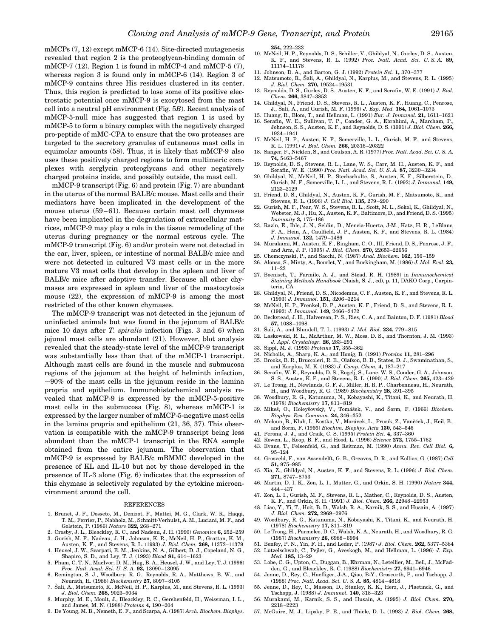mMCPs (7, 12) except mMCP-6 (14). Site-directed mutagenesis revealed that region 2 is the proteoglycan-binding domain of mMCP-7 (12). Region 1 is found in mMCP-4 and mMCP-5 (7), whereas region 3 is found only in mMCP-6 (14). Region 3 of mMCP-9 contains three His residues clustered in its center. Thus, this region is predicted to lose some of its positive electrostatic potential once mMCP-9 is exocytosed from the mast cell into a neutral pH environment (Fig. 5*B*). Recent analysis of mMCP-5-null mice has suggested that region 1 is used by mMCP-5 to form a binary complex with the negatively charged pro-peptide of mMC-CPA to ensure that the two proteases are targeted to the secretory granules of cutaneous mast cells in equimolar amounts (58). Thus, it is likely that mMCP-9 also uses these positively charged regions to form multimeric complexes with serglycin proteoglycans and other negatively charged proteins inside, and possibly outside, the mast cell.

mMCP-9 transcript (Fig. 6) and protein (Fig. 7) are abundant in the uterus of the normal BALB/c mouse. Mast cells and their mediators have been implicated in the development of the mouse uterus (59–61). Because certain mast cell chymases have been implicated in the degradation of extracellular matrices, mMCP-9 may play a role in the tissue remodeling of the uterus during pregnancy or the normal estrous cycle. The mMCP-9 transcript (Fig. 6) and/or protein were not detected in the ear, liver, spleen, or intestine of normal BALB/c mice and were not detected in cultured V3 mast cells or in the more mature V3 mast cells that develop in the spleen and liver of BALB/c mice after adoptive transfer. Because all other chymases are expressed in spleen and liver of the mastocytosis mouse (22), the expression of mMCP-9 is among the most restricted of the other known chymases.

The mMCP-9 transcript was not detected in the jejunum of uninfected animals but was found in the jejunum of BALB/c mice 10 days after *T. spiralis* infection (Figs. 3 and 6) when jejunal mast cells are abundant (21). However, blot analysis revealed that the steady-state level of the mMCP-9 transcript was substantially less than that of the mMCP-1 transcript. Although mast cells are found in the muscle and submucosa regions of the jejunum at the height of helminth infection,  $\sim$ 90% of the mast cells in the jejunum reside in the lamina propria and epithelium. Immunohistochemical analysis revealed that mMCP-9 is expressed by the mMCP-5-positive mast cells in the submucosa (Fig. 8), whereas mMCP-1 is expressed by the larger number of mMCP-5-negative mast cells in the lamina propria and epithelium (21, 36, 37). This observation is compatible with the mMCP-9 transcript being less abundant than the mMCP-1 transcript in the RNA sample obtained from the entire jejunum. The observation that mMCP-9 is expressed by BALB/c mBMMC developed in the presence of KL and IL-10 but not by those developed in the presence of IL-3 alone (Fig. 6) indicates that the expression of this chymase is selectively regulated by the cytokine microenvironment around the cell.

#### REFERENCES

- 1. Brunet, J. F., Dosseto, M., Denizot, F., Mattei, M. G., Clark, W. R., Haqqi, T. M., Ferrier, P., Nabholz, M., Schmitt-Verhulst, A. M., Luciani, M. F., and Golstein, P. (1986) *Nature* **322,** 268–271
- 2. Crosby, J. L., Bleackley, R. C., and Nadeau, J. H. (1990) *Genomics* **6,** 252–259
- 3. Gurish, M. F., Nadeau, J. H., Johnson, K. R., McNeil, H. P., Grattan, K. M., Austen, K. F., and Stevens, R. L. (1993) *J. Biol. Chem.* **268,** 11372–11379
- 4. Heusel, J. W., Scarpati, E. M., Jenkins, N. A., Gilbert, D. J., Copeland, N. G., Shapiro, S. D., and Ley, T. J. (1993) *Blood* **81,** 614–1623
- 5. Pham, C. T. N., MacIvor, D. M., Hug, B. A., Heusel, J. W., and Ley, T. J. (1996) *Proc. Natl. Acad. Sci. U. S. A.* **93,** 13090–13095
- 6. Remington, S. J., Woodbury, R. G., Reynolds, R. A., Matthews, B. W., and Neurath, H. (1988) *Biochemistry* **27,** 8097–8105
- 7. Šali, A., Matsumoto, R., McNeil, H. P., Karplus, M., and Stevens, R. L. (1993) *J. Biol. Chem.* **268,** 9023–9034
- 8. Murphy, M. E., Moult, J., Bleackley, R. C., Gershenfeld, H., Weissman, I. L., and James, M. N. (1988) *Proteins* **4,** 190–204
- 9. De Young, M. B., Nemeth, E. F., and Scarpa, A. (1987) *Arch. Biochem. Biophys.*

**254,** 222–233

- 10. McNeil, H. P., Reynolds, D. S., Schiller, V., Ghildyal, N., Gurley, D. S., Austen, K. F., and Stevens, R. L. (1992) *Proc. Natl. Acad. Sci. U. S. A.* **89,** 11174–11178
- 11. Johnson, D. A., and Barton, G. J. (1992) *Protein Sci.* **1,** 370–377
- 12. Matsumoto, R., Šali, A., Ghildyal, N., Karplus, M., and Stevens, R. L. (1995) *J. Biol. Chem.* **270,** 19524–19531
- 13. Reynolds, D. S., Gurley, D. S., Austen, K. F., and Serafin, W. E. (1991) *J. Biol. Chem.* **266,** 3847–3853
- 14. Ghildyal, N., Friend, D. S., Stevens, R. L., Austen, K. F., Huang, C., Penrose, J., Sˇ ali, A., and Gurish, M. F. (1996) *J. Exp. Med.* **184,** 1061–1073
- 15. Huang, R., Blom, T., and Hellman, L. (1991) *Eur. J. Immunol.* **21,** 1611–1621 16. Serafin, W. E., Sullivan, T. P., Conder, G. A., Ebrahimi, A., Marcham, P., Johnson, S. S., Austen, K. F., and Reynolds, D. S. (1991) *J. Biol. Chem.* **266,** 1934–1941
- 17. McNeil, H. P., Austen, K. F., Somerville, L. L., Gurish, M. F., and Stevens, R. L. (1991) *J. Biol. Chem.* **266,** 20316–20322
- 18. Sanger, F., Nicklen, S., and Coulson, A. R. (1977) *Proc. Natl. Acad. Sci. U. S. A.* **74,** 5463–5467
- 19. Reynolds, D. S., Stevens, R. L., Lane, W. S., Carr, M. H., Austen, K. F., and Serafin, W. E. (1990) *Proc. Natl. Acad. Sci. U. S. A.* **87,** 3230–3234
- 20. Ghildyal, N., McNeil, H. P., Stechschulte, S., Austen, K. F., Silberstein, D., Gurish, M. F., Somerville, L. L., and Stevens, R. L. (1992) *J. Immunol.* **149,** 2123–2129
- 21. Friend, D. S., Ghildyal, N., Austen, K. F., Gurish, M. F., Matsumoto, R., and Stevens, R. L. (1996) *J. Cell Biol.* **135,** 279–290 22. Gurish, M. F., Pear, W. S., Stevens, R. L., Scott, M. L., Sokol, K., Ghildyal, N.,
- Webster, M. J., Hu, X., Austen, K. F., Baltimore, D., and Friend, D. S. (1995) *Immunity* **3,** 175–186
- 23. Razin, E., Ihle, J. N., Seldin, D., Mencia-Huerta, J-M., Katz, H. R., LeBlanc, P. A., Hein, A., Caulfield, J. P., Austen, K. F., and Stevens, R. L. (1984) *J. Immunol.* **132,** 1479–1486
- 24. Murakami, M., Austen, K. F., Bingham, C. O., III, Friend, D. S., Penrose, J. F., and Arm, J. P. (1995) *J. Biol. Chem.* **270,** 22653–22656
- 25. Chomczynski, P., and Sacchi, N. (1987) *Anal. Biochem.* **162,** 156–159
- 26. Alonso, S., Minty, A., Bourlet, Y., and Buckingham, M. (1986) *J. Mol. Evol.* **23,** 11–22
- 27. Boenisch, T., Farmilo, A. J., and Stead, R. H. (1989) in *Immunochemical Staining Methods Handbook* (Naish, S. J., ed), p. 11, DAKO Corp., Carpinteria, CA
- 28. Ghildyal, N., Friend, D. S., Nicodemus, C. F., Austen, K. F., and Stevens, R. L. (1993) *J. Immunol.* **151,** 3206–3214
- 29. McNeil, H. P., Frenkel, D. P., Austen, K. F., Friend, D. S., and Stevens, R. L. (1992) *J. Immunol.* **149,** 2466–2472
- 30. Beckstead, J. H., Halverson, P. S., Ries, C. A., and Bainton, D. F. (1981) *Blood* **57,** 1088–1098
- 31. Šali, A., and Blundell, T. L. (1993) *J. Mol. Biol.* 234, 779-815
- 32. Laskowski, R. L., McArthur, M. W., Moss, D. S., and Thornton, J. M. (1993) *J. Appl. Crystallogr.* **26,** 283–291
- 33. Sippl, M. J. (1993) *Proteins* **17,** 355–362
- 34. Nicholls, A., Sharp, K. A., and Honig, B. (1991) *Proteins* **11,** 281–296
- 35. Brooks, B. R., Bruccoleri, R. E., Olafson, B. D., States, D. J., Swaminathan, S., and Karplus, M. K. (1983) *J. Comp. Chem.* **4,** 187–217
- 36. Serafin, W. E., Reynolds, D. S., Rogelj, S., Lane, W. S., Conder, G. A., Johnson, S. S., Austen, K. F., and Stevens, R. L. (1990) *J. Biol. Chem.* **265,** 423–429
- 37. Le Trong, H., Newlands, G. F. J., Miller, H. R. P., Charbonneau, H., Neurath, H., and Woodbury, R. G. (1989) *Biochemistry* **28,** 391–395
- 38. Woodbury, R. G., Katunuma, N., Kobayashi, K., Titani, K., and Neurath, H. (1978) *Biochemistry* **17,** 811–819
- 39. Mikeš, O., Holeyšovský, V., Tomášek, V., and Šorm, F. (1966) *Biochem*. *Biophys. Res. Commun. 24, 346–352*<br>40. Meloun, B., Kluh, I., Kostka, V., Morávek, L., Prusík, Z., Vaněček, J., Keil, B.,
- and Sorm, F. (1966) *Biochim. Biophys. Acta* **130,** 543–546
- 41. Perona, J. J., and Craik, C. S. (1995) *Protein Sci.* **4,** 337–360
- 42. Rowen, L., Koop, B. F., and Hood, L. (1996) *Science* **272,** 1755–1762
- 43. Evans, T., Felsenfeld, G., and Reitman, M. (1990) *Annu. Rev. Cell Biol.* **6,** 95–124
- 44. Grosveld, F., van Assendelft, G. B., Greaves, D. R., and Kollias, G. (1987) *Cell* **51,** 975–985
- 45. Xia, Z., Ghildyal, N., Austen, K. F., and Stevens, R. L. (1996) *J. Biol. Chem.* **271,** 8747–8753
- 46. Martin, D. I. K., Zon, L. I., Mutter, G., and Orkin, S. H. (1990) *Nature* **344,** 444–437
- 47. Zon, L. I., Gurish, M. F., Stevens, R. L., Mather, C., Reynolds, D. S., Austen, K. F., and Orkin, S. H. (1991) *J. Biol. Chem.* **266,** 22948–22953
- 48. Liao, Y., Yi, T., Hoit, B. D., Walsh, R. A., Karnik, S. S., and Husain, A. (1997) *J. Biol. Chem.* **272,** 2969–2976
- 49. Woodbury, R. G., Katunuma, N., Kobayashi, K., Titani, K., and Neurath, H. (1978) *Biochemistry* **17,** 811–819
- 50. Le Trong, H., Parmelee, D. C., Walsh, K. A., Neurath, H., and Woodbury, R. G. (1987) *Biochemistry* **26,** 6988–6994
- 51. Benfey, P. N., Yin, F. H., and Leder, P. (1987) *J. Biol. Chem.* **262,** 5377–5384 52. Lützelschwab, C., Pejler, G., Aveskogh, M., and Hellman, L. (1996) *J. Exp.*
- *Med.* **185,** 13–29 53. Lobe, C. G., Upton, C., Duggan, B., Ehrman, N., Letellier, M., Bell, J., McFad-den, G., and Bleackley, R. C. (1988) *Biochemistry* **27,** 6941–6946
- 54. Jenne, D., Rey, C., Haefliger, J-A., Qiao, B-Y., Groscurth, P., and Tschopp, J. (1988) *Proc. Natl. Acad. Sci. U. S. A.* **85,** 4814–4818
- 55. Jenne, D., Rey, C., Masson, D., Stanley, K. K., Herz, J., Plaetinck, G., and
- Tschopp, J. (1988) *J. Immunol.* **140,** 318–323 56. Murakami, M., Karnik, S. S., and Husain, A. (1995) *J. Biol. Chem.* **270,** 2218–2223
- 57. McGuire, M. J., Lipsky, P. E., and Thiele, D. L. (1993) *J. Biol. Chem.* **268,**